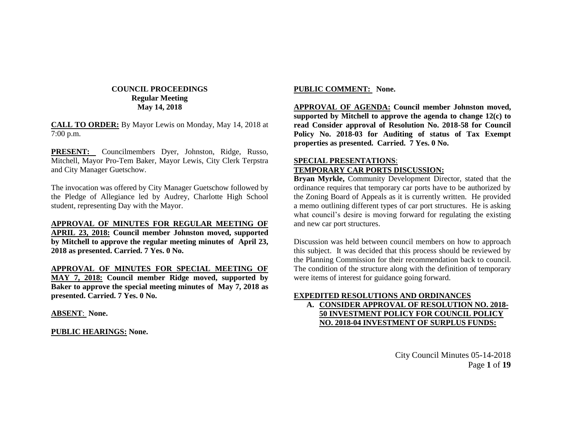### **COUNCIL PROCEEDINGS Regular Meeting May 14, 2018**

**CALL TO ORDER:** By Mayor Lewis on Monday, May 14, 2018 at 7:00 p.m.

**PRESENT:** Councilmembers Dyer, Johnston, Ridge, Russo, Mitchell, Mayor Pro-Tem Baker, Mayor Lewis, City Clerk Terpstra and City Manager Guetschow.

The invocation was offered by City Manager Guetschow followed by the Pledge of Allegiance led by Audrey, Charlotte High School student, representing Day with the Mayor.

**APPROVAL OF MINUTES FOR REGULAR MEETING OF APRIL 23, 2018: Council member Johnston moved, supported by Mitchell to approve the regular meeting minutes of April 23, 2018 as presented. Carried. 7 Yes. 0 No.**

**APPROVAL OF MINUTES FOR SPECIAL MEETING OF MAY 7, 2018: Council member Ridge moved, supported by Baker to approve the special meeting minutes of May 7, 2018 as presented. Carried. 7 Yes. 0 No.**

**ABSENT**: **None.**

**PUBLIC HEARINGS: None.**

### **PUBLIC COMMENT: None.**

**APPROVAL OF AGENDA: Council member Johnston moved, supported by Mitchell to approve the agenda to change 12(c) to read Consider approval of Resolution No. 2018-58 for Council Policy No. 2018-03 for Auditing of status of Tax Exempt properties as presented. Carried. 7 Yes. 0 No.**

### **SPECIAL PRESENTATIONS**: **TEMPORARY CAR PORTS DISCUSSION:**

**Bryan Myrkle,** Community Development Director, stated that the ordinance requires that temporary car ports have to be authorized by the Zoning Board of Appeals as it is currently written. He provided a memo outlining different types of car port structures. He is asking what council's desire is moving forward for regulating the existing and new car port structures.

Discussion was held between council members on how to approach this subject. It was decided that this process should be reviewed by the Planning Commission for their recommendation back to council. The condition of the structure along with the definition of temporary were items of interest for guidance going forward.

### **EXPEDITED RESOLUTIONS AND ORDINANCES**

**A. CONSIDER APPROVAL OF RESOLUTION NO. 2018- 50 INVESTMENT POLICY FOR COUNCIL POLICY NO. 2018-04 INVESTMENT OF SURPLUS FUNDS:**

> City Council Minutes 05-14-2018 Page **1** of **19**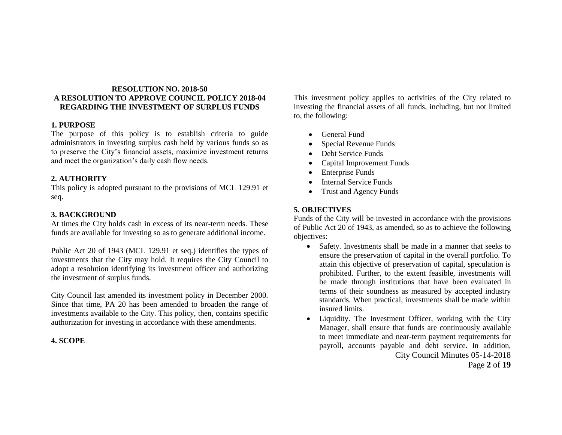### **RESOLUTION NO. 2018-50 A RESOLUTION TO APPROVE COUNCIL POLICY 2018-04 REGARDING THE INVESTMENT OF SURPLUS FUNDS**

### **1. PURPOSE**

The purpose of this policy is to establish criteria to guide administrators in investing surplus cash held by various funds so as to preserve the City's financial assets, maximize investment returns and meet the organization's daily cash flow needs.

### **2. AUTHORITY**

This policy is adopted pursuant to the provisions of MCL 129.91 et seq.

## **3. BACKGROUND**

At times the City holds cash in excess of its near-term needs. These funds are available for investing so as to generate additional income.

Public Act 20 of 1943 (MCL 129.91 et seq.) identifies the types of investments that the City may hold. It requires the City Council to adopt a resolution identifying its investment officer and authorizing the investment of surplus funds.

City Council last amended its investment policy in December 2000. Since that time, PA 20 has been amended to broaden the range of investments available to the City. This policy, then, contains specific authorization for investing in accordance with these amendments.

### **4. SCOPE**

This investment policy applies to activities of the City related to investing the financial assets of all funds, including, but not limited to, the following:

- General Fund
- Special Revenue Funds
- Debt Service Funds
- Capital Improvement Funds
- Enterprise Funds
- Internal Service Funds
- Trust and Agency Funds

## **5. OBJECTIVES**

Funds of the City will be invested in accordance with the provisions of Public Act 20 of 1943, as amended, so as to achieve the following objectives:

- Safety. Investments shall be made in a manner that seeks to ensure the preservation of capital in the overall portfolio. To attain this objective of preservation of capital, speculation is prohibited. Further, to the extent feasible, investments will be made through institutions that have been evaluated in terms of their soundness as measured by accepted industry standards. When practical, investments shall be made within insured limits.
- City Council Minutes 05-14-2018 • Liquidity. The Investment Officer, working with the City Manager, shall ensure that funds are continuously available to meet immediate and near-term payment requirements for payroll, accounts payable and debt service. In addition,

Page **2** of **19**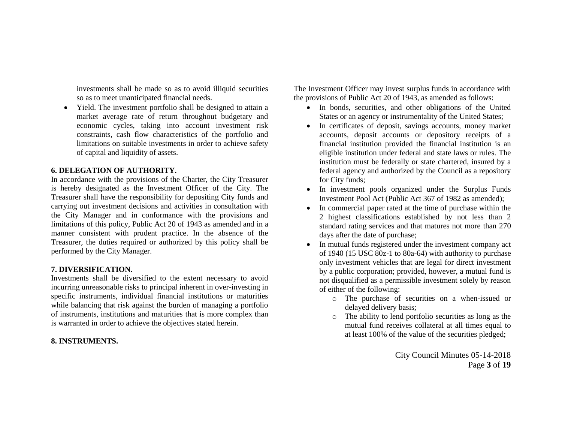investments shall be made so as to avoid illiquid securities so as to meet unanticipated financial needs.

 Yield. The investment portfolio shall be designed to attain a market average rate of return throughout budgetary and economic cycles, taking into account investment risk constraints, cash flow characteristics of the portfolio and limitations on suitable investments in order to achieve safety of capital and liquidity of assets.

#### **6. DELEGATION OF AUTHORITY.**

In accordance with the provisions of the Charter, the City Treasurer is hereby designated as the Investment Officer of the City. The Treasurer shall have the responsibility for depositing City funds and carrying out investment decisions and activities in consultation with the City Manager and in conformance with the provisions and limitations of this policy, Public Act 20 of 1943 as amended and in a manner consistent with prudent practice. In the absence of the Treasurer, the duties required or authorized by this policy shall be performed by the City Manager.

#### **7. DIVERSIFICATION.**

Investments shall be diversified to the extent necessary to avoid incurring unreasonable risks to principal inherent in over-investing in specific instruments, individual financial institutions or maturities while balancing that risk against the burden of managing a portfolio of instruments, institutions and maturities that is more complex than is warranted in order to achieve the objectives stated herein.

#### **8. INSTRUMENTS.**

The Investment Officer may invest surplus funds in accordance with the provisions of Public Act 20 of 1943, as amended as follows:

- In bonds, securities, and other obligations of the United States or an agency or instrumentality of the United States;
- In certificates of deposit, savings accounts, money market accounts, deposit accounts or depository receipts of a financial institution provided the financial institution is an eligible institution under federal and state laws or rules. The institution must be federally or state chartered, insured by a federal agency and authorized by the Council as a repository for City funds;
- In investment pools organized under the Surplus Funds Investment Pool Act (Public Act 367 of 1982 as amended);
- In commercial paper rated at the time of purchase within the 2 highest classifications established by not less than 2 standard rating services and that matures not more than 270 days after the date of purchase;
- In mutual funds registered under the investment company act of 1940 (15 USC 80z-1 to 80a-64) with authority to purchase only investment vehicles that are legal for direct investment by a public corporation; provided, however, a mutual fund is not disqualified as a permissible investment solely by reason of either of the following:
	- o The purchase of securities on a when-issued or delayed delivery basis;
	- o The ability to lend portfolio securities as long as the mutual fund receives collateral at all times equal to at least 100% of the value of the securities pledged;

City Council Minutes 05-14-2018 Page **3** of **19**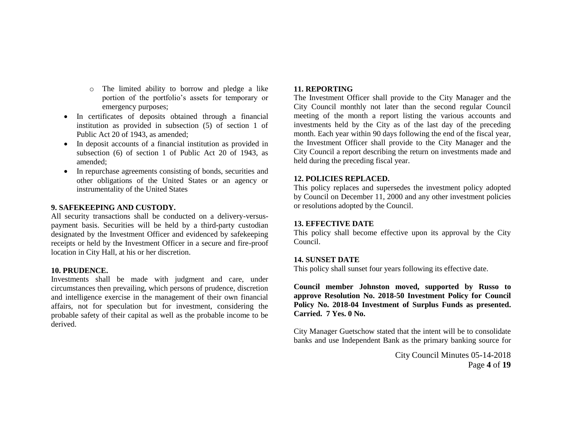- o The limited ability to borrow and pledge a like portion of the portfolio's assets for temporary or emergency purposes;
- In certificates of deposits obtained through a financial institution as provided in subsection (5) of section 1 of Public Act 20 of 1943, as amended;
- In deposit accounts of a financial institution as provided in subsection (6) of section 1 of Public Act 20 of 1943, as amended;
- In repurchase agreements consisting of bonds, securities and other obligations of the United States or an agency or instrumentality of the United States

### **9. SAFEKEEPING AND CUSTODY.**

All security transactions shall be conducted on a delivery-versuspayment basis. Securities will be held by a third-party custodian designated by the Investment Officer and evidenced by safekeeping receipts or held by the Investment Officer in a secure and fire-proof location in City Hall, at his or her discretion.

### **10. PRUDENCE.**

Investments shall be made with judgment and care, under circumstances then prevailing, which persons of prudence, discretion and intelligence exercise in the management of their own financial affairs, not for speculation but for investment, considering the probable safety of their capital as well as the probable income to be derived.

### **11. REPORTING**

The Investment Officer shall provide to the City Manager and the City Council monthly not later than the second regular Council meeting of the month a report listing the various accounts and investments held by the City as of the last day of the preceding month. Each year within 90 days following the end of the fiscal year, the Investment Officer shall provide to the City Manager and the City Council a report describing the return on investments made and held during the preceding fiscal year.

### **12. POLICIES REPLACED.**

This policy replaces and supersedes the investment policy adopted by Council on December 11, 2000 and any other investment policies or resolutions adopted by the Council.

### **13. EFFECTIVE DATE**

This policy shall become effective upon its approval by the City Council.

#### **14. SUNSET DATE**

This policy shall sunset four years following its effective date.

**Council member Johnston moved, supported by Russo to approve Resolution No. 2018-50 Investment Policy for Council Policy No. 2018-04 Investment of Surplus Funds as presented. Carried. 7 Yes. 0 No.**

City Manager Guetschow stated that the intent will be to consolidate banks and use Independent Bank as the primary banking source for

> City Council Minutes 05-14-2018 Page **4** of **19**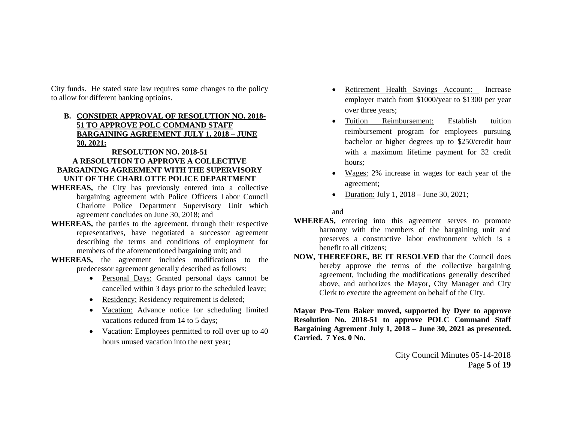City funds. He stated state law requires some changes to the policy to allow for different banking optioins.

## **B. CONSIDER APPROVAL OF RESOLUTION NO. 2018- 51 TO APPROVE POLC COMMAND STAFF BARGAINING AGREEMENT JULY 1, 2018 – JUNE 30, 2021:**

### **RESOLUTION NO. 2018-51 A RESOLUTION TO APPROVE A COLLECTIVE BARGAINING AGREEMENT WITH THE SUPERVISORY UNIT OF THE CHARLOTTE POLICE DEPARTMENT**

- **WHEREAS,** the City has previously entered into a collective bargaining agreement with Police Officers Labor Council Charlotte Police Department Supervisory Unit which agreement concludes on June 30, 2018; and
- **WHEREAS,** the parties to the agreement, through their respective representatives, have negotiated a successor agreement describing the terms and conditions of employment for members of the aforementioned bargaining unit; and
- **WHEREAS,** the agreement includes modifications to the predecessor agreement generally described as follows:
	- Personal Days: Granted personal days cannot be cancelled within 3 days prior to the scheduled leave;
	- Residency: Residency requirement is deleted;
	- Vacation: Advance notice for scheduling limited vacations reduced from 14 to 5 days;
	- Vacation: Employees permitted to roll over up to 40 hours unused vacation into the next year;
- Retirement Health Savings Account: Increase employer match from \$1000/year to \$1300 per year over three years;
- Tuition Reimbursement: Establish tuition reimbursement program for employees pursuing bachelor or higher degrees up to \$250/credit hour with a maximum lifetime payment for 32 credit hours;
- Wages: 2% increase in wages for each year of the agreement;
- Duration: July 1,  $2018 -$  June 30,  $2021$ ;

and

- **WHEREAS,** entering into this agreement serves to promote harmony with the members of the bargaining unit and preserves a constructive labor environment which is a benefit to all citizens;
- **NOW, THEREFORE, BE IT RESOLVED** that the Council does hereby approve the terms of the collective bargaining agreement, including the modifications generally described above, and authorizes the Mayor, City Manager and City Clerk to execute the agreement on behalf of the City.

**Mayor Pro-Tem Baker moved, supported by Dyer to approve Resolution No. 2018-51 to approve POLC Command Staff Bargaining Agrement July 1, 2018 – June 30, 2021 as presented. Carried. 7 Yes. 0 No.**

> City Council Minutes 05-14-2018 Page **5** of **19**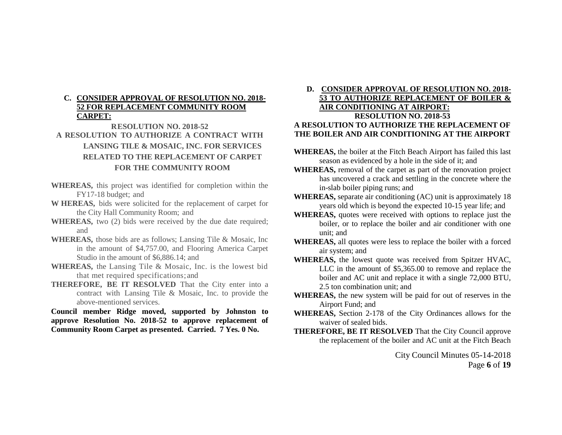### **C. CONSIDER APPROVAL OF RESOLUTION NO. 2018- 52 FOR REPLACEMENT COMMUNITY ROOM CARPET:**

# **RESOLUTION NO. 2018-52 A RESOLUTION TO AUTHORIZE A CONTRACT WITH LANSING TILE & MOSAIC, INC. FOR SERVICES RELATED TO THE REPLACEMENT OF CARPET FOR THE COMMUNITY ROOM**

- **WHEREAS,** this project was identified for completion within the FY17-18 budget; and
- **W HEREAS,** bids were solicited for the replacement of carpet for the City Hall Community Room; and
- **WHEREAS,** two (2) bids were received by the due date required; and
- **WHEREAS,** those bids are as follows; Lansing Tile & Mosaic, Inc in the amount of \$4,757.00, and Flooring America Carpet Studio in the amount of \$6,886.14; and
- **WHEREAS,** the Lansing Tile & Mosaic, Inc. is the lowest bid that met required specifications; and
- **THEREFORE, BE IT RESOLVED** That the City enter into a contract with Lansing Tile & Mosaic, Inc. to provide the above-mentioned services.

**Council member Ridge moved, supported by Johnston to approve Resolution No. 2018-52 to approve replacement of Community Room Carpet as presented. Carried. 7 Yes. 0 No.**

### **D. CONSIDER APPROVAL OF RESOLUTION NO. 2018- 53 TO AUTHORIZE REPLACEMENT OF BOILER & AIR CONDITIONING AT AIRPORT: RESOLUTION NO. 2018-53 A RESOLUTION TO AUTHORIZE THE REPLACEMENT OF THE BOILER AND AIR CONDITIONING AT THE AIRPORT**

- **WHEREAS,** the boiler at the Fitch Beach Airport has failed this last season as evidenced by a hole in the side of it; and
- **WHEREAS,** removal of the carpet as part of the renovation project has uncovered a crack and settling in the concrete where the in-slab boiler piping runs; and
- **WHEREAS,** separate air conditioning (AC) unit is approximately 18 years old which is beyond the expected 10-15 year life; and
- **WHEREAS,** quotes were received with options to replace just the boiler, or to replace the boiler and air conditioner with one unit; and
- **WHEREAS,** all quotes were less to replace the boiler with a forced air system; and
- **WHEREAS,** the lowest quote was received from Spitzer HVAC, LLC in the amount of \$5,365.00 to remove and replace the boiler and AC unit and replace it with a single 72,000 BTU, 2.5 ton combination unit; and
- **WHEREAS,** the new system will be paid for out of reserves in the Airport Fund; and
- **WHEREAS,** Section 2-178 of the City Ordinances allows for the waiver of sealed bids.
- **THEREFORE, BE IT RESOLVED** That the City Council approve the replacement of the boiler and AC unit at the Fitch Beach

City Council Minutes 05-14-2018 Page **6** of **19**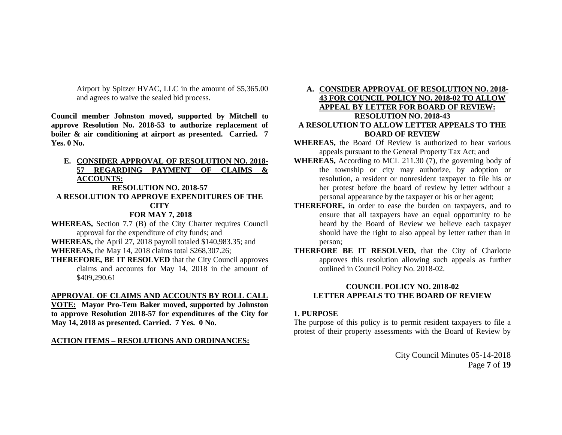Airport by Spitzer HVAC, LLC in the amount of \$5,365.00 and agrees to waive the sealed bid process.

**Council member Johnston moved, supported by Mitchell to approve Resolution No. 2018-53 to authorize replacement of boiler & air conditioning at airport as presented. Carried. 7 Yes. 0 No.**

## **E. CONSIDER APPROVAL OF RESOLUTION NO. 2018- 57 REGARDING PAYMENT OF CLAIMS & ACCOUNTS:**

## **RESOLUTION NO. 2018-57 A RESOLUTION TO APPROVE EXPENDITURES OF THE CITY**

### **FOR MAY 7, 2018**

**WHEREAS,** Section 7.7 (B) of the City Charter requires Council approval for the expenditure of city funds; and

**WHEREAS,** the April 27, 2018 payroll totaled \$140,983.35; and **WHEREAS,** the May 14, 2018 claims total \$268,307.26;

**THEREFORE, BE IT RESOLVED** that the City Council approves claims and accounts for May 14, 2018 in the amount of \$409,290.61

#### **APPROVAL OF CLAIMS AND ACCOUNTS BY ROLL CALL**

**VOTE: Mayor Pro-Tem Baker moved, supported by Johnston to approve Resolution 2018-57 for expenditures of the City for May 14, 2018 as presented. Carried. 7 Yes. 0 No.**

#### **ACTION ITEMS – RESOLUTIONS AND ORDINANCES:**

### **A. CONSIDER APPROVAL OF RESOLUTION NO. 2018- 43 FOR COUNCIL POLICY NO. 2018-02 TO ALLOW APPEAL BY LETTER FOR BOARD OF REVIEW: RESOLUTION NO. 2018-43 A RESOLUTION TO ALLOW LETTER APPEALS TO THE BOARD OF REVIEW**

- **WHEREAS,** the Board Of Review is authorized to hear various appeals pursuant to the General Property Tax Act; and
- **WHEREAS,** According to MCL 211.30 (7), the governing body of the township or city may authorize, by adoption or resolution, a resident or nonresident taxpayer to file his or her protest before the board of review by letter without a personal appearance by the taxpayer or his or her agent;
- **THEREFORE,** in order to ease the burden on taxpayers, and to ensure that all taxpayers have an equal opportunity to be heard by the Board of Review we believe each taxpayer should have the right to also appeal by letter rather than in person;
- **THERFORE BE IT RESOLVED,** that the City of Charlotte approves this resolution allowing such appeals as further outlined in Council Policy No. 2018-02.

### **COUNCIL POLICY NO. 2018-02 LETTER APPEALS TO THE BOARD OF REVIEW**

#### **1. PURPOSE**

The purpose of this policy is to permit resident taxpayers to file a protest of their property assessments with the Board of Review by

> City Council Minutes 05-14-2018 Page **7** of **19**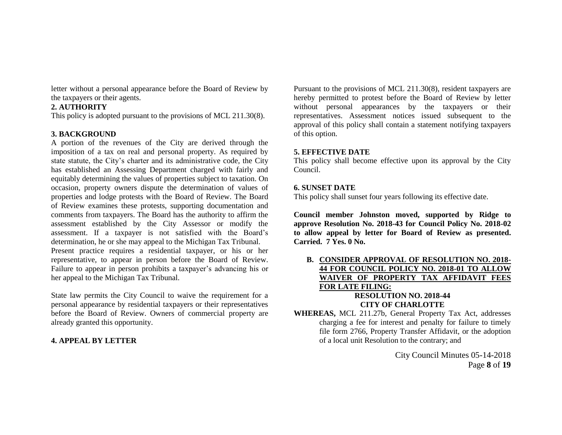letter without a personal appearance before the Board of Review by the taxpayers or their agents.

### **2. AUTHORITY**

This policy is adopted pursuant to the provisions of MCL 211.30(8).

## **3. BACKGROUND**

A portion of the revenues of the City are derived through the imposition of a tax on real and personal property. As required by state statute, the City's charter and its administrative code, the City has established an Assessing Department charged with fairly and equitably determining the values of properties subject to taxation. On occasion, property owners dispute the determination of values of properties and lodge protests with the Board of Review. The Board of Review examines these protests, supporting documentation and comments from taxpayers. The Board has the authority to affirm the assessment established by the City Assessor or modify the assessment. If a taxpayer is not satisfied with the Board's determination, he or she may appeal to the Michigan Tax Tribunal. Present practice requires a residential taxpayer, or his or her

representative, to appear in person before the Board of Review. Failure to appear in person prohibits a taxpayer's advancing his or her appeal to the Michigan Tax Tribunal.

State law permits the City Council to waive the requirement for a personal appearance by residential taxpayers or their representatives before the Board of Review. Owners of commercial property are already granted this opportunity.

## **4. APPEAL BY LETTER**

Pursuant to the provisions of MCL 211.30(8), resident taxpayers are hereby permitted to protest before the Board of Review by letter without personal appearances by the taxpayers or their representatives. Assessment notices issued subsequent to the approval of this policy shall contain a statement notifying taxpayers of this option.

## **5. EFFECTIVE DATE**

This policy shall become effective upon its approval by the City Council.

## **6. SUNSET DATE**

This policy shall sunset four years following its effective date.

**Council member Johnston moved, supported by Ridge to approve Resolution No. 2018-43 for Council Policy No. 2018-02 to allow appeal by letter for Board of Review as presented. Carried. 7 Yes. 0 No.**

**B. CONSIDER APPROVAL OF RESOLUTION NO. 2018- 44 FOR COUNCIL POLICY NO. 2018-01 TO ALLOW WAIVER OF PROPERTY TAX AFFIDAVIT FEES FOR LATE FILING: RESOLUTION NO. 2018-44**

# **CITY OF CHARLOTTE**

**WHEREAS,** MCL 211.27b, General Property Tax Act, addresses charging a fee for interest and penalty for failure to timely file form 2766, Property Transfer Affidavit, or the adoption of a local unit Resolution to the contrary; and

> City Council Minutes 05-14-2018 Page **8** of **19**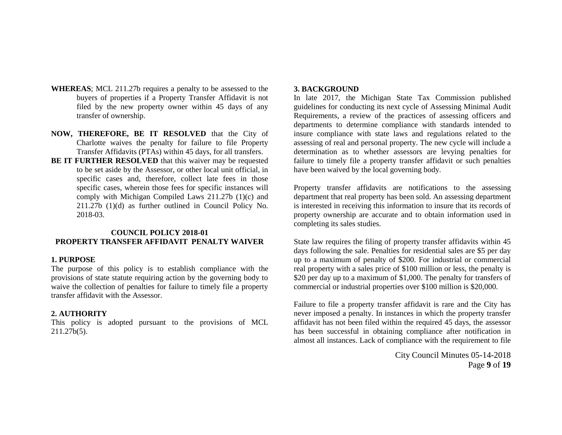- **WHEREAS**; MCL 211.27b requires a penalty to be assessed to the buyers of properties if a Property Transfer Affidavit is not filed by the new property owner within 45 days of any transfer of ownership.
- **NOW, THEREFORE, BE IT RESOLVED** that the City of Charlotte waives the penalty for failure to file Property Transfer Affidavits (PTAs) within 45 days, for all transfers.
- **BE IT FURTHER RESOLVED** that this waiver may be requested to be set aside by the Assessor, or other local unit official, in specific cases and, therefore, collect late fees in those specific cases, wherein those fees for specific instances will comply with Michigan Compiled Laws 211.27b (1)(c) and 211.27b (1)(d) as further outlined in Council Policy No. 2018-03.

### **COUNCIL POLICY 2018-01 PROPERTY TRANSFER AFFIDAVIT PENALTY WAIVER**

#### **1. PURPOSE**

The purpose of this policy is to establish compliance with the provisions of state statute requiring action by the governing body to waive the collection of penalties for failure to timely file a property transfer affidavit with the Assessor.

#### **2. AUTHORITY**

This policy is adopted pursuant to the provisions of MCL 211.27b(5).

#### **3. BACKGROUND**

In late 2017, the Michigan State Tax Commission published guidelines for conducting its next cycle of Assessing Minimal Audit Requirements, a review of the practices of assessing officers and departments to determine compliance with standards intended to insure compliance with state laws and regulations related to the assessing of real and personal property. The new cycle will include a determination as to whether assessors are levying penalties for failure to timely file a property transfer affidavit or such penalties have been waived by the local governing body.

Property transfer affidavits are notifications to the assessing department that real property has been sold. An assessing department is interested in receiving this information to insure that its records of property ownership are accurate and to obtain information used in completing its sales studies.

State law requires the filing of property transfer affidavits within 45 days following the sale. Penalties for residential sales are \$5 per day up to a maximum of penalty of \$200. For industrial or commercial real property with a sales price of \$100 million or less, the penalty is \$20 per day up to a maximum of \$1,000. The penalty for transfers of commercial or industrial properties over \$100 million is \$20,000.

Failure to file a property transfer affidavit is rare and the City has never imposed a penalty. In instances in which the property transfer affidavit has not been filed within the required 45 days, the assessor has been successful in obtaining compliance after notification in almost all instances. Lack of compliance with the requirement to file

> City Council Minutes 05-14-2018 Page **9** of **19**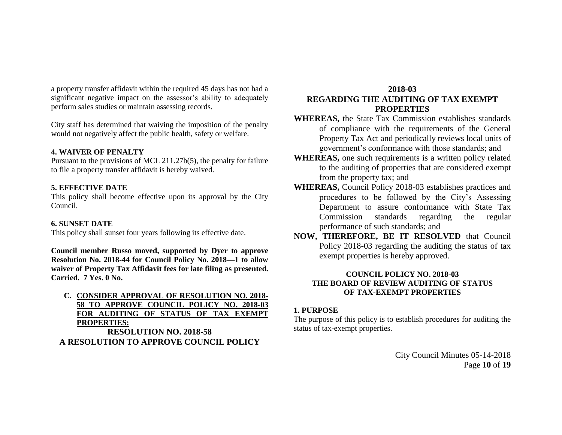a property transfer affidavit within the required 45 days has not had a significant negative impact on the assessor's ability to adequately perform sales studies or maintain assessing records.

City staff has determined that waiving the imposition of the penalty would not negatively affect the public health, safety or welfare.

### **4. WAIVER OF PENALTY**

Pursuant to the provisions of MCL 211.27b(5), the penalty for failure to file a property transfer affidavit is hereby waived.

### **5. EFFECTIVE DATE**

This policy shall become effective upon its approval by the City Council.

### **6. SUNSET DATE**

This policy shall sunset four years following its effective date.

**Council member Russo moved, supported by Dyer to approve Resolution No. 2018-44 for Council Policy No. 2018—1 to allow waiver of Property Tax Affidavit fees for late filing as presented. Carried. 7 Yes. 0 No.**

**C. CONSIDER APPROVAL OF RESOLUTION NO. 2018- 58 TO APPROVE COUNCIL POLICY NO. 2018-03 FOR AUDITING OF STATUS OF TAX EXEMPT PROPERTIES:**

**RESOLUTION NO. 2018-58 A RESOLUTION TO APPROVE COUNCIL POLICY** 

## **2018-03 REGARDING THE AUDITING OF TAX EXEMPT PROPERTIES**

- **WHEREAS,** the State Tax Commission establishes standards of compliance with the requirements of the General Property Tax Act and periodically reviews local units of government's conformance with those standards; and
- **WHEREAS,** one such requirements is a written policy related to the auditing of properties that are considered exempt from the property tax; and
- **WHEREAS,** Council Policy 2018-03 establishes practices and procedures to be followed by the City's Assessing Department to assure conformance with State Tax Commission standards regarding the regular performance of such standards; and
- **NOW, THEREFORE, BE IT RESOLVED** that Council Policy 2018-03 regarding the auditing the status of tax exempt properties is hereby approved.

## **COUNCIL POLICY NO. 2018-03 THE BOARD OF REVIEW AUDITING OF STATUS OF TAX-EXEMPT PROPERTIES**

### **1. PURPOSE**

The purpose of this policy is to establish procedures for auditing the status of tax-exempt properties.

> City Council Minutes 05-14-2018 Page **10** of **19**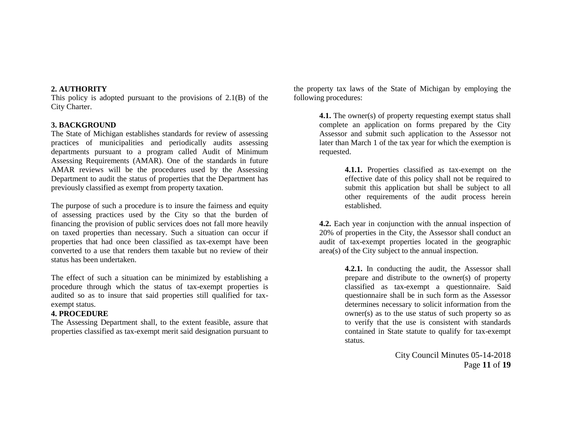### **2. AUTHORITY**

This policy is adopted pursuant to the provisions of 2.1(B) of the City Charter.

#### **3. BACKGROUND**

The State of Michigan establishes standards for review of assessing practices of municipalities and periodically audits assessing departments pursuant to a program called Audit of Minimum Assessing Requirements (AMAR). One of the standards in future AMAR reviews will be the procedures used by the Assessing Department to audit the status of properties that the Department has previously classified as exempt from property taxation.

The purpose of such a procedure is to insure the fairness and equity of assessing practices used by the City so that the burden of financing the provision of public services does not fall more heavily on taxed properties than necessary. Such a situation can occur if properties that had once been classified as tax-exempt have been converted to a use that renders them taxable but no review of their status has been undertaken.

The effect of such a situation can be minimized by establishing a procedure through which the status of tax-exempt properties is audited so as to insure that said properties still qualified for taxexempt status.

### **4. PROCEDURE**

The Assessing Department shall, to the extent feasible, assure that properties classified as tax-exempt merit said designation pursuant to

the property tax laws of the State of Michigan by employing the following procedures:

> **4.1.** The owner(s) of property requesting exempt status shall complete an application on forms prepared by the City Assessor and submit such application to the Assessor not later than March 1 of the tax year for which the exemption is requested.

> > **4.1.1.** Properties classified as tax-exempt on the effective date of this policy shall not be required to submit this application but shall be subject to all other requirements of the audit process herein established.

**4.2.** Each year in conjunction with the annual inspection of 20% of properties in the City, the Assessor shall conduct an audit of tax-exempt properties located in the geographic area(s) of the City subject to the annual inspection.

> **4.2.1.** In conducting the audit, the Assessor shall prepare and distribute to the owner(s) of property classified as tax-exempt a questionnaire. Said questionnaire shall be in such form as the Assessor determines necessary to solicit information from the owner(s) as to the use status of such property so as to verify that the use is consistent with standards contained in State statute to qualify for tax-exempt status.

> > City Council Minutes 05-14-2018 Page **11** of **19**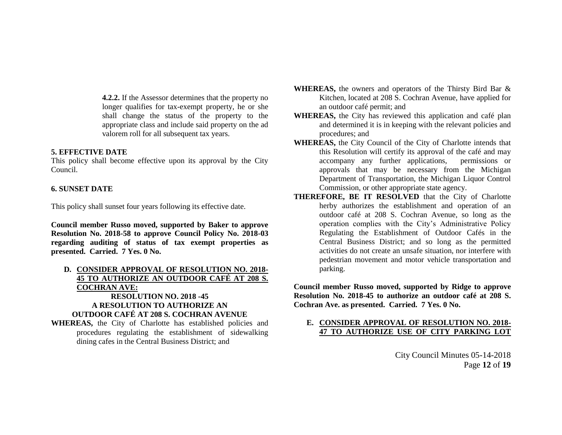**4.2.2.** If the Assessor determines that the property no longer qualifies for tax-exempt property, he or she shall change the status of the property to the appropriate class and include said property on the ad valorem roll for all subsequent tax years.

### **5. EFFECTIVE DATE**

This policy shall become effective upon its approval by the City Council.

### **6. SUNSET DATE**

This policy shall sunset four years following its effective date.

**Council member Russo moved, supported by Baker to approve Resolution No. 2018-58 to approve Council Policy No. 2018-03 regarding auditing of status of tax exempt properties as presented. Carried. 7 Yes. 0 No.**

## **D. CONSIDER APPROVAL OF RESOLUTION NO. 2018- 45 TO AUTHORIZE AN OUTDOOR CAFÉ AT 208 S. COCHRAN AVE: RESOLUTION NO. 2018 -45**

#### **A RESOLUTION TO AUTHORIZE AN OUTDOOR CAFÉ AT 208 S. COCHRAN AVENUE**

**WHEREAS,** the City of Charlotte has established policies and procedures regulating the establishment of sidewalking dining cafes in the Central Business District; and

- **WHEREAS,** the owners and operators of the Thirsty Bird Bar & Kitchen, located at 208 S. Cochran Avenue, have applied for an outdoor café permit; and
- **WHEREAS,** the City has reviewed this application and café plan and determined it is in keeping with the relevant policies and procedures; and
- **WHEREAS,** the City Council of the City of Charlotte intends that this Resolution will certify its approval of the café and may accompany any further applications, permissions or approvals that may be necessary from the Michigan Department of Transportation, the Michigan Liquor Control Commission, or other appropriate state agency.
- **THEREFORE, BE IT RESOLVED** that the City of Charlotte herby authorizes the establishment and operation of an outdoor café at 208 S. Cochran Avenue, so long as the operation complies with the City's Administrative Policy Regulating the Establishment of Outdoor Cafés in the Central Business District; and so long as the permitted activities do not create an unsafe situation, nor interfere with pedestrian movement and motor vehicle transportation and parking.

**Council member Russo moved, supported by Ridge to approve Resolution No. 2018-45 to authorize an outdoor café at 208 S. Cochran Ave. as presented. Carried. 7 Yes. 0 No.**

### **E. CONSIDER APPROVAL OF RESOLUTION NO. 2018- 47 TO AUTHORIZE USE OF CITY PARKING LOT**

City Council Minutes 05-14-2018 Page **12** of **19**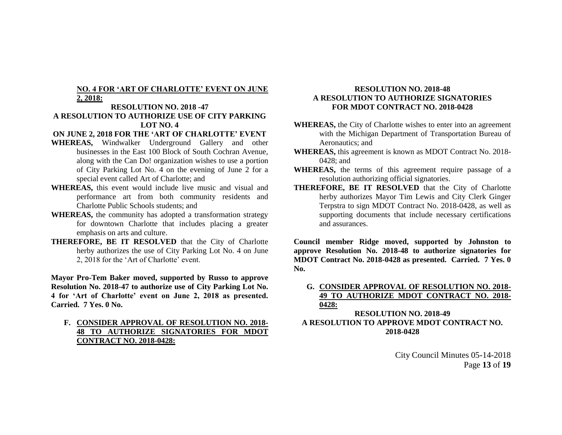### **NO. 4 FOR 'ART OF CHARLOTTE' EVENT ON JUNE 2, 2018:**

### **RESOLUTION NO. 2018 -47 A RESOLUTION TO AUTHORIZE USE OF CITY PARKING LOT NO. 4**

#### **ON JUNE 2, 2018 FOR THE 'ART OF CHARLOTTE' EVENT**

- **WHEREAS,** Windwalker Underground Gallery and other businesses in the East 100 Block of South Cochran Avenue, along with the Can Do! organization wishes to use a portion of City Parking Lot No. 4 on the evening of June 2 for a special event called Art of Charlotte; and
- **WHEREAS,** this event would include live music and visual and performance art from both community residents and Charlotte Public Schools students; and
- **WHEREAS,** the community has adopted a transformation strategy for downtown Charlotte that includes placing a greater emphasis on arts and culture.
- **THEREFORE, BE IT RESOLVED** that the City of Charlotte herby authorizes the use of City Parking Lot No. 4 on June 2, 2018 for the 'Art of Charlotte' event.

**Mayor Pro-Tem Baker moved, supported by Russo to approve Resolution No. 2018-47 to authorize use of City Parking Lot No. 4 for 'Art of Charlotte' event on June 2, 2018 as presented. Carried. 7 Yes. 0 No.**

**F. CONSIDER APPROVAL OF RESOLUTION NO. 2018- 48 TO AUTHORIZE SIGNATORIES FOR MDOT CONTRACT NO. 2018-0428:**

### **RESOLUTION NO. 2018-48 A RESOLUTION TO AUTHORIZE SIGNATORIES FOR MDOT CONTRACT NO. 2018-0428**

- **WHEREAS,** the City of Charlotte wishes to enter into an agreement with the Michigan Department of Transportation Bureau of Aeronautics; and
- **WHEREAS,** this agreement is known as MDOT Contract No. 2018- 0428; and
- **WHEREAS,** the terms of this agreement require passage of a resolution authorizing official signatories.
- **THEREFORE, BE IT RESOLVED** that the City of Charlotte herby authorizes Mayor Tim Lewis and City Clerk Ginger Terpstra to sign MDOT Contract No. 2018-0428, as well as supporting documents that include necessary certifications and assurances.

**Council member Ridge moved, supported by Johnston to approve Resolution No. 2018-48 to authorize signatories for MDOT Contract No. 2018-0428 as presented. Carried. 7 Yes. 0 No.**

### **G. CONSIDER APPROVAL OF RESOLUTION NO. 2018- 49 TO AUTHORIZE MDOT CONTRACT NO. 2018- 0428:**

### **RESOLUTION NO. 2018-49 A RESOLUTION TO APPROVE MDOT CONTRACT NO. 2018-0428**

City Council Minutes 05-14-2018 Page **13** of **19**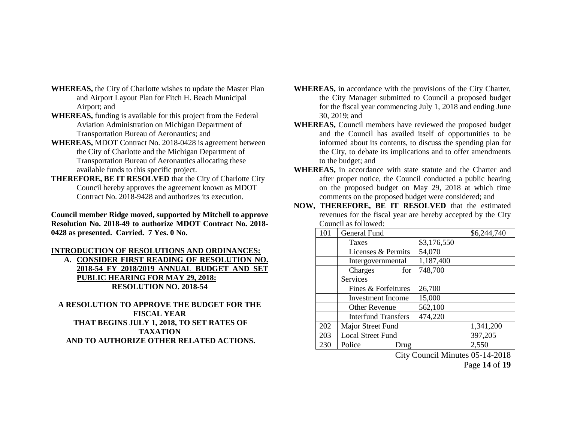- **WHEREAS,** the City of Charlotte wishes to update the Master Plan and Airport Layout Plan for Fitch H. Beach Municipal Airport; and
- **WHEREAS,** funding is available for this project from the Federal Aviation Administration on Michigan Department of Transportation Bureau of Aeronautics; and
- **WHEREAS,** MDOT Contract No. 2018-0428 is agreement between the City of Charlotte and the Michigan Department of Transportation Bureau of Aeronautics allocating these available funds to this specific project.
- **THEREFORE, BE IT RESOLVED** that the City of Charlotte City Council hereby approves the agreement known as MDOT Contract No. 2018-9428 and authorizes its execution.

**Council member Ridge moved, supported by Mitchell to approve Resolution No. 2018-49 to authorize MDOT Contract No. 2018- 0428 as presented. Carried. 7 Yes. 0 No.**

### **INTRODUCTION OF RESOLUTIONS AND ORDINANCES:**

**A. CONSIDER FIRST READING OF RESOLUTION NO. 2018-54 FY 2018/2019 ANNUAL BUDGET AND SET PUBLIC HEARING FOR MAY 29, 2018: RESOLUTION NO. 2018-54**

**A RESOLUTION TO APPROVE THE BUDGET FOR THE FISCAL YEAR THAT BEGINS JULY 1, 2018, TO SET RATES OF TAXATION AND TO AUTHORIZE OTHER RELATED ACTIONS.**

- **WHEREAS,** in accordance with the provisions of the City Charter, the City Manager submitted to Council a proposed budget for the fiscal year commencing July 1, 2018 and ending June 30, 2019; and
- **WHEREAS,** Council members have reviewed the proposed budget and the Council has availed itself of opportunities to be informed about its contents, to discuss the spending plan for the City, to debate its implications and to offer amendments to the budget; and
- **WHEREAS,** in accordance with state statute and the Charter and after proper notice, the Council conducted a public hearing on the proposed budget on May 29, 2018 at which time comments on the proposed budget were considered; and
- **NOW, THEREFORE, BE IT RESOLVED** that the estimated revenues for the fiscal year are hereby accepted by the City Council as followed:

| 101 | General Fund               |             | \$6,244,740 |
|-----|----------------------------|-------------|-------------|
|     | <b>Taxes</b>               | \$3,176,550 |             |
|     | Licenses & Permits         | 54,070      |             |
|     | Intergovernmental          | 1,187,400   |             |
|     | Charges<br>for             | 748,700     |             |
|     | <b>Services</b>            |             |             |
|     | Fines & Forfeitures        | 26,700      |             |
|     | Investment Income          | 15,000      |             |
|     | <b>Other Revenue</b>       | 562,100     |             |
|     | <b>Interfund Transfers</b> | 474,220     |             |
| 202 | Major Street Fund          |             | 1,341,200   |
| 203 | <b>Local Street Fund</b>   |             | 397,205     |
| 230 | Police<br>Drug             |             | 2,550       |

City Council Minutes 05-14-2018

Page **14** of **19**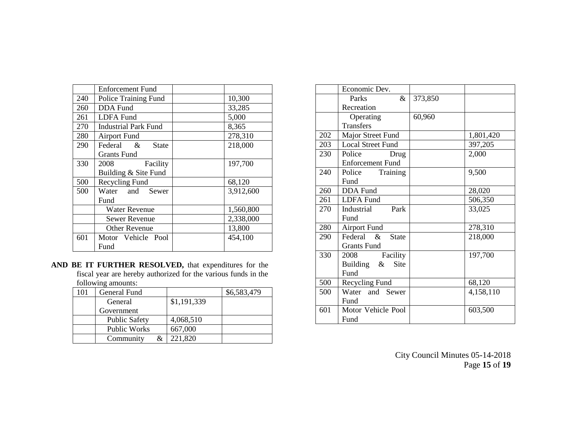|     | <b>Enforcement Fund</b>     |           |
|-----|-----------------------------|-----------|
| 240 | Police Training Fund        | 10,300    |
| 260 | <b>DDA</b> Fund             | 33,285    |
| 261 | <b>LDFA</b> Fund            | 5,000     |
| 270 | <b>Industrial Park Fund</b> | 8,365     |
| 280 | <b>Airport Fund</b>         | 278,310   |
| 290 | Federal &<br><b>State</b>   | 218,000   |
|     | Grants Fund                 |           |
| 330 | Facility<br>2008            | 197,700   |
|     | Building & Site Fund        |           |
| 500 | Recycling Fund              | 68,120    |
| 500 | Water and Sewer             | 3,912,600 |
|     | Fund                        |           |
|     | <b>Water Revenue</b>        | 1,560,800 |
|     | <b>Sewer Revenue</b>        | 2,338,000 |
|     | <b>Other Revenue</b>        | 13,800    |
| 601 | Motor Vehicle Pool          | 454,100   |
|     | Fund                        |           |

**AND BE IT FURTHER RESOLVED,** that expenditures for the fiscal year are hereby authorized for the various funds in the following amounts:

| 101 | General Fund         |             | \$6,583,479 |
|-----|----------------------|-------------|-------------|
|     | General              | \$1,191,339 |             |
|     | Government           |             |             |
|     | <b>Public Safety</b> | 4,068,510   |             |
|     | <b>Public Works</b>  | 667,000     |             |
|     | Community<br>&       | 221,820     |             |

|     | Economic Dev.                |         |           |
|-----|------------------------------|---------|-----------|
|     | Parks<br>&                   | 373,850 |           |
|     | Recreation                   |         |           |
|     | Operating                    | 60,960  |           |
|     | <b>Transfers</b>             |         |           |
| 202 | Major Street Fund            |         | 1,801,420 |
| 203 | <b>Local Street Fund</b>     |         | 397,205   |
| 230 | Police<br>Drug               |         | 2,000     |
|     | <b>Enforcement Fund</b>      |         |           |
| 240 | Police Training              |         | 9,500     |
|     | Fund                         |         |           |
| 260 | <b>DDA</b> Fund              |         | 28,020    |
| 261 | <b>LDFA</b> Fund             |         | 506,350   |
| 270 | Park<br>Industrial           |         | 33,025    |
|     | Fund                         |         |           |
| 280 | <b>Airport Fund</b>          |         | 278,310   |
| 290 | Federal &<br><b>State</b>    |         | 218,000   |
|     | <b>Grants Fund</b>           |         |           |
| 330 | 2008<br>Facility             |         | 197,700   |
|     | Building $\&$<br><b>Site</b> |         |           |
|     | Fund                         |         |           |
| 500 | Recycling Fund               |         | 68,120    |
| 500 | Water and Sewer              |         | 4,158,110 |
|     | Fund                         |         |           |
| 601 | Motor Vehicle Pool           |         | 603,500   |
|     | Fund                         |         |           |

City Council Minutes 05-14-2018 Page **15** of **19**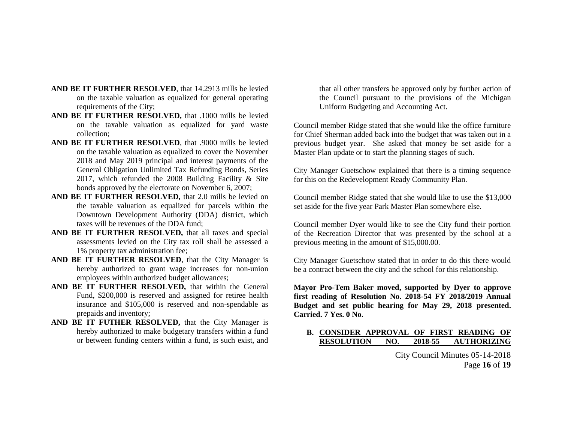- **AND BE IT FURTHER RESOLVED**, that 14.2913 mills be levied on the taxable valuation as equalized for general operating requirements of the City;
- **AND BE IT FURTHER RESOLVED,** that .1000 mills be levied on the taxable valuation as equalized for yard waste collection;
- **AND BE IT FURTHER RESOLVED**, that .9000 mills be levied on the taxable valuation as equalized to cover the November 2018 and May 2019 principal and interest payments of the General Obligation Unlimited Tax Refunding Bonds, Series 2017, which refunded the 2008 Building Facility & Site bonds approved by the electorate on November 6, 2007;
- **AND BE IT FURTHER RESOLVED,** that 2.0 mills be levied on the taxable valuation as equalized for parcels within the Downtown Development Authority (DDA) district, which taxes will be revenues of the DDA fund;
- **AND BE IT FURTHER RESOLVED,** that all taxes and special assessments levied on the City tax roll shall be assessed a 1% property tax administration fee;
- **AND BE IT FURTHER RESOLVED**, that the City Manager is hereby authorized to grant wage increases for non-union employees within authorized budget allowances;
- **AND BE IT FURTHER RESOLVED,** that within the General Fund, \$200,000 is reserved and assigned for retiree health insurance and \$105,000 is reserved and non-spendable as prepaids and inventory;
- **AND BE IT FUTHER RESOLVED,** that the City Manager is hereby authorized to make budgetary transfers within a fund or between funding centers within a fund, is such exist, and

that all other transfers be approved only by further action of the Council pursuant to the provisions of the Michigan Uniform Budgeting and Accounting Act.

Council member Ridge stated that she would like the office furniture for Chief Sherman added back into the budget that was taken out in a previous budget year. She asked that money be set aside for a Master Plan update or to start the planning stages of such.

City Manager Guetschow explained that there is a timing sequence for this on the Redevelopment Ready Community Plan.

Council member Ridge stated that she would like to use the \$13,000 set aside for the five year Park Master Plan somewhere else.

Council member Dyer would like to see the City fund their portion of the Recreation Director that was presented by the school at a previous meeting in the amount of \$15,000.00.

City Manager Guetschow stated that in order to do this there would be a contract between the city and the school for this relationship.

**Mayor Pro-Tem Baker moved, supported by Dyer to approve first reading of Resolution No. 2018-54 FY 2018/2019 Annual Budget and set public hearing for May 29, 2018 presented. Carried. 7 Yes. 0 No.**

## **B. CONSIDER APPROVAL OF FIRST READING OF RESOLUTION NO. 2018-55 AUTHORIZING**

City Council Minutes 05-14-2018 Page **16** of **19**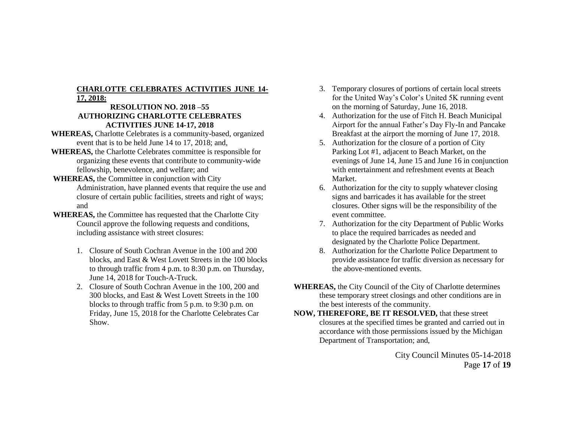## **CHARLOTTE CELEBRATES ACTIVITIES JUNE 14- 17, 2018:**

### **RESOLUTION NO. 2018 –55 AUTHORIZING CHARLOTTE CELEBRATES ACTIVITIES JUNE 14-17, 2018**

- **WHEREAS,** Charlotte Celebrates is a community-based, organized event that is to be held June 14 to 17, 2018; and,
- **WHEREAS,** the Charlotte Celebrates committee is responsible for organizing these events that contribute to community-wide fellowship, benevolence, and welfare; and
- **WHEREAS,** the Committee in conjunction with City Administration, have planned events that require the use and closure of certain public facilities, streets and right of ways; and
- **WHEREAS,** the Committee has requested that the Charlotte City Council approve the following requests and conditions, including assistance with street closures:
	- 1. Closure of South Cochran Avenue in the 100 and 200 blocks, and East & West Lovett Streets in the 100 blocks to through traffic from 4 p.m. to 8:30 p.m. on Thursday, June 14, 2018 for Touch-A-Truck.
	- 2. Closure of South Cochran Avenue in the 100, 200 and 300 blocks, and East & West Lovett Streets in the 100 blocks to through traffic from 5 p.m. to 9:30 p.m. on Friday, June 15, 2018 for the Charlotte Celebrates Car Show.
- 3. Temporary closures of portions of certain local streets for the United Way's Color's United 5K running event on the morning of Saturday, June 16, 2018.
- 4. Authorization for the use of Fitch H. Beach Municipal Airport for the annual Father's Day Fly-In and Pancake Breakfast at the airport the morning of June 17, 2018.
- 5. Authorization for the closure of a portion of City Parking Lot #1, adjacent to Beach Market, on the evenings of June 14, June 15 and June 16 in conjunction with entertainment and refreshment events at Beach Market.
- 6. Authorization for the city to supply whatever closing signs and barricades it has available for the street closures. Other signs will be the responsibility of the event committee.
- 7. Authorization for the city Department of Public Works to place the required barricades as needed and designated by the Charlotte Police Department.
- 8. Authorization for the Charlotte Police Department to provide assistance for traffic diversion as necessary for the above-mentioned events.
- **WHEREAS,** the City Council of the City of Charlotte determines these temporary street closings and other conditions are in the best interests of the community.
- **NOW, THEREFORE, BE IT RESOLVED,** that these street closures at the specified times be granted and carried out in accordance with those permissions issued by the Michigan Department of Transportation; and,

City Council Minutes 05-14-2018 Page **17** of **19**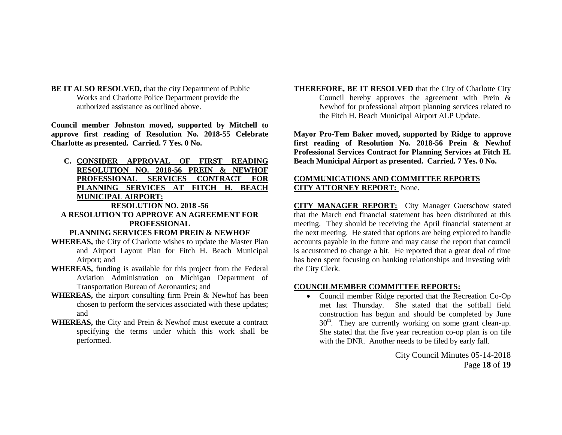**BE IT ALSO RESOLVED,** that the city Department of Public Works and Charlotte Police Department provide the authorized assistance as outlined above.

**Council member Johnston moved, supported by Mitchell to approve first reading of Resolution No. 2018-55 Celebrate Charlotte as presented. Carried. 7 Yes. 0 No.**

**C. CONSIDER APPROVAL OF FIRST READING RESOLUTION NO. 2018-56 PREIN & NEWHOF PROFESSIONAL SERVICES CONTRACT FOR PLANNING SERVICES AT FITCH H. BEACH MUNICIPAL AIRPORT: RESOLUTION NO. 2018 -56**

# **A RESOLUTION TO APPROVE AN AGREEMENT FOR PROFESSIONAL**

#### **PLANNING SERVICES FROM PREIN & NEWHOF**

- **WHEREAS,** the City of Charlotte wishes to update the Master Plan and Airport Layout Plan for Fitch H. Beach Municipal Airport; and
- **WHEREAS,** funding is available for this project from the Federal Aviation Administration on Michigan Department of Transportation Bureau of Aeronautics; and
- **WHEREAS,** the airport consulting firm Prein & Newhof has been chosen to perform the services associated with these updates; and
- **WHEREAS,** the City and Prein & Newhof must execute a contract specifying the terms under which this work shall be performed.

**THEREFORE, BE IT RESOLVED** that the City of Charlotte City Council hereby approves the agreement with Prein & Newhof for professional airport planning services related to the Fitch H. Beach Municipal Airport ALP Update.

**Mayor Pro-Tem Baker moved, supported by Ridge to approve first reading of Resolution No. 2018-56 Prein & Newhof Professional Services Contract for Planning Services at Fitch H. Beach Municipal Airport as presented. Carried. 7 Yes. 0 No.**

### **COMMUNICATIONS AND COMMITTEE REPORTS CITY ATTORNEY REPORT:** None.

**CITY MANAGER REPORT:** City Manager Guetschow stated that the March end financial statement has been distributed at this meeting. They should be receiving the April financial statement at the next meeting. He stated that options are being explored to handle accounts payable in the future and may cause the report that council is accustomed to change a bit. He reported that a great deal of time has been spent focusing on banking relationships and investing with the City Clerk.

### **COUNCILMEMBER COMMITTEE REPORTS:**

• Council member Ridge reported that the Recreation Co-Op met last Thursday. She stated that the softball field construction has begun and should be completed by June  $30<sup>th</sup>$ . They are currently working on some grant clean-up. She stated that the five year recreation co-op plan is on file with the DNR. Another needs to be filed by early fall.

> City Council Minutes 05-14-2018 Page **18** of **19**